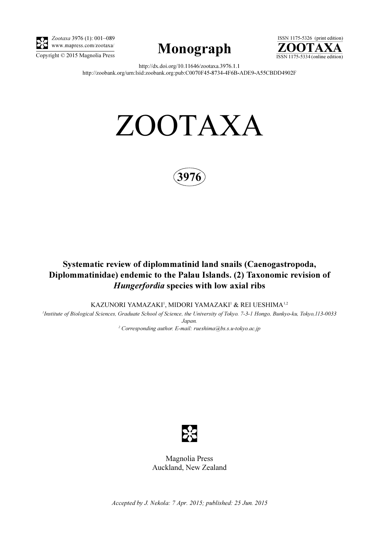

Zootaxa 3976 (1): 001–089 www.mapress.com/zootaxa/





http://dx.doi.org/10.11646/zootaxa.3976.1.1 http://zoobank.org/urn:lsid:zoobank.org:pub:C0070F45-8734-4F6B-ADE9-A55CBDD4902F

# ZOOTAXA



## Systematic review of diplommatinid land snails (Caenogastropoda, Diplommatinidae) endemic to the Palau Islands. (2) Taxonomic revision of Hungerfordia species with low axial ribs

KAZUNORI YAMAZAKI', MIDORI YAMAZAKI' & REI UESHIMA'<sup>.2</sup>

1 Institute of Biological Sciences, Graduate School of Science, the University of Tokyo. 7-3-1 Hongo, Bunkyo-ku, Tokyo,113-0033 Japan.

<sup>2</sup> Corresponding author. E-mail: rueshima@bs.s.u-tokyo.ac.jp



Magnolia Press Auckland, New Zealand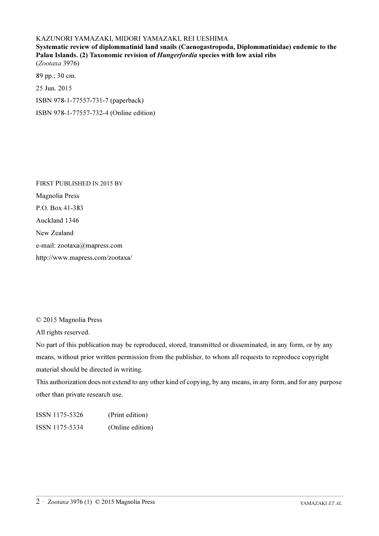### KAZUNORI YAMAZAKI, MIDORI YAMAZAKI, REI UESHIMA

Systematic review of diplommatinid land snails (Caenogastropoda, Diplommatinidae) endemic to the Palau Islands. (2) Taxonomic revision of *Hungerfordia* species with low axial ribs (Zootaxa 3976)

89 pp.; 30 cm. 25 Jun. 2015 ISBN 978-1-77557-731-7 (paperback) ISBN 978-1-77557-732-4 (Online edition)

FIRST PUBLISHED IN 2015 BY Magnolia Press P.O. Box 41-383 Auckland 1346 New Zealand e-mail: zootaxa@mapress.com http://www.mapress.com/zootaxa/

© 2015 Magnolia Press

All rights reserved.

No part of this publication may be reproduced, stored, transmitted or disseminated, in any form, or by any means, without prior written permission from the publisher, to whom all requests to reproduce copyright material should be directed in writing.

This authorization does not extend to any other kind of copying, by any means, in any form, and for any purpose other than private research use.

ISSN 1175-5326 (Print edition) ISSN 1175-5334 (Online edition)